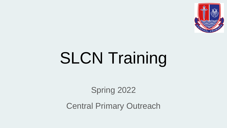

# **SLCN Training**

Spring 2022

Central Primary Outreach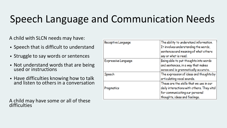## Speech Language and Communication Needs

A child with SLCN needs may have:

- Speech that is difficult to understand
- Struggle to say words or sentences
- Not understand words that are being used or instructions
- Have difficulties knowing how to talk and listen to others in a conversation

A child may have some or all of these difficulties

| Receptive Language  | The ability to understand information.<br>It involves understanding the words,<br>sentences and meaning of what others<br>say or what is read.           |
|---------------------|----------------------------------------------------------------------------------------------------------------------------------------------------------|
| Expressive Language | Being able to put thoughts into words<br>and sentences, in a way that makes<br>sense and is grammatically accurate.                                      |
| Speech              | The expression of ideas and thoughts by<br>articulating vocal sounds.                                                                                    |
| Pragmatics          | These are the skills that we use in our<br>daily interactions with others. They vital<br>for communicating our personal<br>thoughts, ideas and feelings. |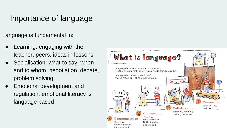## Importance of language

Language is fundamental in:

- Learning: engaging with the teacher, peers, ideas in lessons.
- Socialisation: what to say, when and to whom, negotiation, debate, problem solving
- Emotional development and regulation: emotional literacy is language based

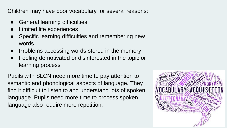Children may have poor vocabulary for several reasons:

- **General learning difficulties**
- **Limited life experiences**
- Specific learning difficulties and remembering new words
- Problems accessing words stored in the memory
- Feeling demotivated or disinterested in the topic or learning process

Pupils with SLCN need more time to pay attention to semantic and phonological aspects of language. They find it difficult to listen to and understand lots of spoken language. Pupils need more time to process spoken language also require more repetition.

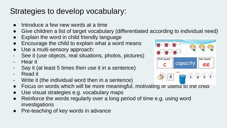## Strategies to develop vocabulary:

- Introduce a few new words at a time
- Give children a list of target vocabulary (differentiated according to individual need)
- Explain the word in child friendly language
- Encourage the child to explain what a word means
- Use a multi-sensory approach:
- See it (use objects, real situations, photos, pictures)
- Hear it
- Say it (at least 5 times then use it in a sentence)
- Read it
- Write it (the individual word then in a sentence)
- Focus on words which will be more meaningful, motivating or useful to the child
- Use visual strategies e.g. vocabulary maps
- Reinforce the words regularly over a long period of time e.g. using word investigations
- Pre-teaching of key words in advance

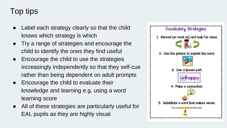## Top tips

- Label each strategy clearly so that the child knows which strategy is which
- Try a range of strategies and encourage the child to identify the ones they find useful
- Encourage the child to use the strategies increasingly independently so that they self-cue rather than being dependent on adult prompts
- Encourage the child to evaluate their knowledge and learning e.g. using a word learning score
- All of these strategies are particularly useful for EAL pupils as they are highly visual

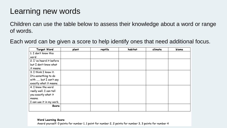### Learning new words

Children can use the table below to assess their knowledge about a word or range of words.

Each word can be given a score to help identify ones that need additional focus.

| Target Word              | plant | reptile | habitat | climate | biome |
|--------------------------|-------|---------|---------|---------|-------|
| 1. I don't know this     |       |         |         |         |       |
| word                     |       |         |         |         |       |
| 2. I 've heard it before |       |         |         |         |       |
| but I don't know what    |       |         |         |         |       |
| it means.                |       |         |         |         |       |
| 3. I think I know it.    |       |         |         |         |       |
| It's something to do     |       |         |         |         |       |
| with  but I can't say    |       |         |         |         |       |
| exactly what it means.   |       |         |         |         |       |
| 4. I know the word       |       |         |         |         |       |
| really well. I can tell  |       |         |         |         |       |
| you exactly what it      |       |         |         |         |       |
| means.                   |       |         |         |         |       |
| I can use it in my work. |       |         |         |         |       |
| Score                    |       |         |         |         |       |
|                          |       |         |         |         |       |

#### Word Learning Score

Award yourself: 0 points for number 1, 1 point for number 2, 2 points for number 3, 3 points for number 4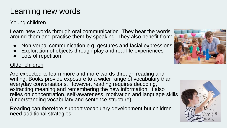## Learning new words

#### Young children

Learn new words through oral communication. They hear the words around them and practise them by speaking. They also benefit from:

- Non-verbal communication e.g. gestures and facial expressions
- Exploration of objects through play and real life experiences
- Lots of repetition

#### Older children

Are expected to learn more and more words through reading and writing. Books provide exposure to a wider range of vocabulary than everyday conversations. However, reading requires decoding, extracting meaning and remembering the new information. It also relies on concentration, self-awareness, motivation and language skills (understanding vocabulary and sentence structure).

Reading can therefore support vocabulary development but children need additional strategies.



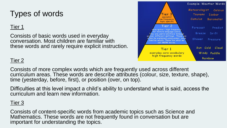## Types of words

#### Tier 1

Consists of basic words used in everyday conversation. Most children are familiar with these words and rarely require explicit instruction.



#### Tier 2

Consists of more complex words which are frequently used across different curriculum areas. These words are describe attributes (colour, size, texture, shape), time (yesterday, before, first), or position (over, on top).

Difficulties at this level impact a child's ability to understand what is said, access the curriculum and learn new information.

#### Tier 3

Consists of content-specific words from academic topics such as Science and Mathematics. These words are not frequently found in conversation but are important for understanding the topics.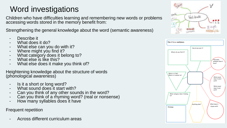## Word investigations

Children who have difficulties learning and remembering new words or problems accessing words stored in the memory benefit from:

Strengthening the general knowledge about the word (semantic awareness)

- Describe it
- What does it do?
- What else can you do with it?
- Where might you find it?
- What category does it belong to?
- What else is like this?
- What else does it make you think of?

Heightening knowledge about the structure of words (phonological awareness)

- Is it a short or long word?
- What sound does it start with?
- Can you think of any other sounds in the word?
- Can you think of a rhyming word? (real or nonsense)
- How many syllables does it have

Frequent repetition

Across different curriculum areas



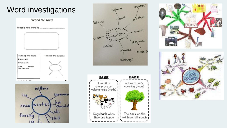## Word investigations